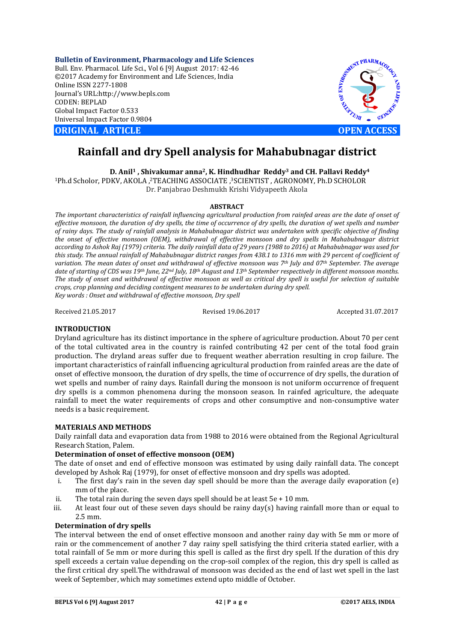**Bulletin of Environment, Pharmacology and Life Sciences** Bull. Env. Pharmacol. Life Sci., Vol 6 [9] August 2017: 42-46 ©2017 Academy for Environment and Life Sciences, India Online ISSN 2277-1808 Journal's URL:http://www.bepls.com CODEN: BEPLAD Global Impact Factor 0.533 Universal Impact Factor 0.9804

**CORIGINAL ARTICLE OPEN ACCESS** 



# **Rainfall and dry Spell analysis for Mahabubnagar district**

**D. Anil1 , Shivakumar anna2, K. Hindhudhar Reddy3 and CH. Pallavi Reddy4**

1Ph.d Scholor, PDKV, AKOLA ,2TEACHING ASSOCIATE ,3SCIENTIST , AGRONOMY, Ph.D SCHOLOR Dr. Panjabrao Deshmukh Krishi Vidyapeeth Akola

# **ABSTRACT**

*The important characteristics of rainfall influencing agricultural production from rainfed areas are the date of onset of effective monsoon, the duration of dry spells, the time of occurrence of dry spells, the duration of wet spells and number of rainy days. The study of rainfall analysis in Mahabubnagar district was undertaken with specific objective of finding the onset of effective monsoon (OEM), withdrawal of effective monsoon and dry spells in Mahabubnagar district according to Ashok Raj (1979) criteria. The daily rainfall data of 29 years (1988 to 2016) at Mahabubnagar was used for this study. The annual rainfall of Mahabubnagar district ranges from 438.1 to 1316 mm with 29 percent of coefficient of variation. The mean dates of onset and withdrawal of effective monsoon was 7th July and 07th September. The average date of starting of CDS was 19th June, 22nd July, 18th August and 13th September respectively in different monsoon months. The study of onset and withdrawal of effective monsoon as well as critical dry spell is useful for selection of suitable crops, crop planning and deciding contingent measures to be undertaken during dry spell. Key words : Onset and withdrawal of effective monsoon, Dry spell* 

Received 21.05.2017 Revised 19.06.2017 Accepted 31.07.2017

# **INTRODUCTION**

Dryland agriculture has its distinct importance in the sphere of agriculture production. About 70 per cent of the total cultivated area in the country is rainfed contributing 42 per cent of the total food grain production. The dryland areas suffer due to frequent weather aberration resulting in crop failure. The important characteristics of rainfall influencing agricultural production from rainfed areas are the date of onset of effective monsoon, the duration of dry spells, the time of occurrence of dry spells, the duration of wet spells and number of rainy days. Rainfall during the monsoon is not uniform occurrence of frequent dry spells is a common phenomena during the monsoon season. In rainfed agriculture, the adequate rainfall to meet the water requirements of crops and other consumptive and non-consumptive water needs is a basic requirement.

# **MATERIALS AND METHODS**

Daily rainfall data and evaporation data from 1988 to 2016 were obtained from the Regional Agricultural Research Station, Palem.

# **Determination of onset of effective monsoon (OEM)**

The date of onset and end of effective monsoon was estimated by using daily rainfall data. The concept developed by Ashok Raj (1979), for onset of effective monsoon and dry spells was adopted.

- i. The first day's rain in the seven day spell should be more than the average daily evaporation (e) mm of the place.
- ii. The total rain during the seven days spell should be at least  $5e + 10$  mm.
- iii. At least four out of these seven days should be rainy day(s) having rainfall more than or equal to 2.5 mm.

# **Determination of dry spells**

The interval between the end of onset effective monsoon and another rainy day with 5e mm or more of rain or the commencement of another 7 day rainy spell satisfying the third criteria stated earlier, with a total rainfall of 5e mm or more during this spell is called as the first dry spell. If the duration of this dry spell exceeds a certain value depending on the crop-soil complex of the region, this dry spell is called as the first critical dry spell.The withdrawal of monsoon was decided as the end of last wet spell in the last week of September, which may sometimes extend upto middle of October.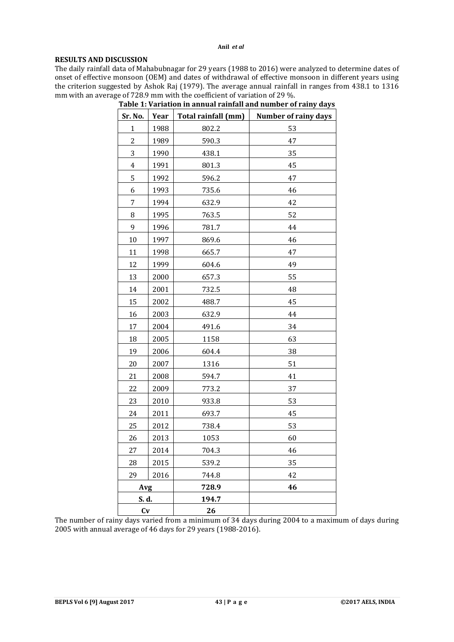## **Anil** *et al*

# **RESULTS AND DISCUSSION**

The daily rainfall data of Mahabubnagar for 29 years (1988 to 2016) were analyzed to determine dates of onset of effective monsoon (OEM) and dates of withdrawal of effective monsoon in different years using the criterion suggested by Ashok Raj (1979). The average annual rainfall in ranges from 438.1 to 1316 mm with an average of 728.9 mm with the coefficient of variation of 29 %.

| Sr. No.<br>Year |      | Total rainfall (mm) | <b>Number of rainy days</b> |  |  |  |
|-----------------|------|---------------------|-----------------------------|--|--|--|
| $\mathbf{1}$    | 1988 | 802.2               | 53                          |  |  |  |
| $\overline{c}$  | 1989 | 590.3               | 47                          |  |  |  |
| 3               | 1990 | 438.1               | 35                          |  |  |  |
| $\overline{4}$  | 1991 | 801.3               | 45                          |  |  |  |
| 5               | 1992 | 596.2               | 47                          |  |  |  |
| 6               | 1993 | 735.6               | 46                          |  |  |  |
| 7               | 1994 | 632.9               | 42                          |  |  |  |
| 8               | 1995 | 763.5               | 52                          |  |  |  |
| 9               | 1996 | 781.7               | 44                          |  |  |  |
| 10              | 1997 | 869.6               | 46                          |  |  |  |
| 11              | 1998 | 665.7               | 47                          |  |  |  |
| 12              | 1999 | 604.6               | 49                          |  |  |  |
| 13              | 2000 | 657.3               | 55                          |  |  |  |
| 14              | 2001 | 732.5               | 48                          |  |  |  |
| 15              | 2002 | 488.7               | 45                          |  |  |  |
| 16              | 2003 | 632.9               | 44                          |  |  |  |
| 17              | 2004 | 491.6               | 34                          |  |  |  |
| 18              | 2005 | 1158                | 63                          |  |  |  |
| 19              | 2006 | 604.4               | 38                          |  |  |  |
| 20              | 2007 | 1316                | 51                          |  |  |  |
| 21              | 2008 | 594.7               | 41                          |  |  |  |
| 22              | 2009 | 773.2               | 37                          |  |  |  |
| 23              | 2010 | 933.8               | 53                          |  |  |  |
| 24              | 2011 | 693.7               | 45                          |  |  |  |
| 25              | 2012 | 738.4               | 53                          |  |  |  |
| 26              | 2013 | 1053                | 60                          |  |  |  |
| 27              | 2014 | 704.3               | 46                          |  |  |  |
| 28              | 2015 | 539.2               | 35                          |  |  |  |
| 29              | 2016 | 744.8               | 42                          |  |  |  |
| <b>Avg</b>      |      | 728.9               | 46                          |  |  |  |
| S. d.           |      | 194.7               |                             |  |  |  |
| Cv              |      | 26                  |                             |  |  |  |

| Table 1: Variation in annual rainfall and number of rainy days |  |  |
|----------------------------------------------------------------|--|--|
|                                                                |  |  |

The number of rainy days varied from a minimum of 34 days during 2004 to a maximum of days during 2005 with annual average of 46 days for 29 years (1988-2016).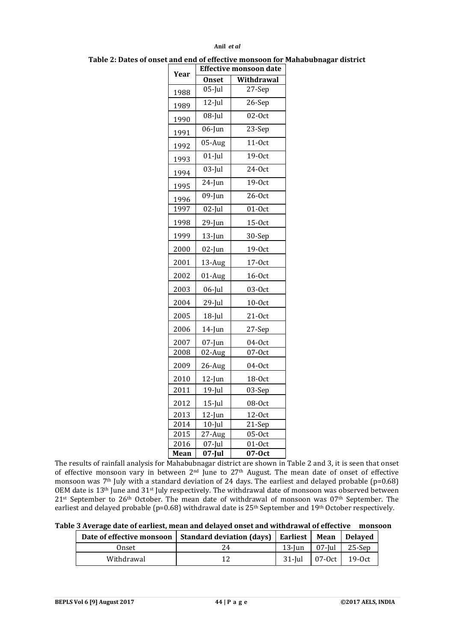#### **Anil** *et al*

| Year | <b>Effective monsoon date</b> |                      |  |  |  |
|------|-------------------------------|----------------------|--|--|--|
|      | <b>Onset</b>                  | Withdrawal           |  |  |  |
| 1988 | $05$ -Jul                     | 27-Sep               |  |  |  |
| 1989 | $12$ -Jul                     | 26-Sep               |  |  |  |
| 1990 | $08$ -Jul                     | $\overline{0}$ 2-Oct |  |  |  |
| 1991 | $06$ -Jun                     | 23-Sep               |  |  |  |
| 1992 | 05-Aug                        | $11-0ct$             |  |  |  |
| 1993 | $01$ -Jul                     | 19-0ct               |  |  |  |
| 1994 | $03$ -Jul                     | $24-0ct$             |  |  |  |
| 1995 | $24$ -Jun                     | 19-0ct               |  |  |  |
| 1996 | $09$ -Jun                     | $26-0ct$             |  |  |  |
| 1997 | $02$ -Jul                     | $01-0ct$             |  |  |  |
| 1998 | 29-Jun                        | $15-0ct$             |  |  |  |
| 1999 | $13$ -Jun                     | 30-Sep               |  |  |  |
| 2000 | 02-Jun                        | 19-0ct               |  |  |  |
| 2001 | 13-Aug                        | $17-0ct$             |  |  |  |
| 2002 | 01-Aug                        | $16-0ct$             |  |  |  |
| 2003 | $06$ -Jul                     | 03-0ct               |  |  |  |
| 2004 | 29-Jul                        | $10-0ct$             |  |  |  |
| 2005 | $18$ -Jul                     | $21-0ct$             |  |  |  |
| 2006 | $14$ -Jun                     | 27-Sep               |  |  |  |
| 2007 | $07$ -Jun                     | $04-0ct$             |  |  |  |
| 2008 | 02-Aug                        | 07-Oct               |  |  |  |
| 2009 | 26-Aug                        | $04-0ct$             |  |  |  |
| 2010 | 12-Jun                        | 18-0ct               |  |  |  |
| 2011 | $19$ -Jul                     | 03-Sep               |  |  |  |
| 2012 | $15$ -Jul                     | 08-0ct               |  |  |  |
| 2013 | $12$ -Jun                     | $12-0ct$             |  |  |  |
| 2014 | $10$ -Jul                     | 21-Sep               |  |  |  |
| 2015 | 27-Aug                        | $05-0ct$             |  |  |  |
| 2016 | 07-Jul                        | $01-0ct$             |  |  |  |
| Mean | 07-Jul                        | 07-Oct               |  |  |  |

**Table 2: Dates of onset and end of effective monsoon for Mahabubnagar district**

The results of rainfall analysis for Mahabubnagar district are shown in Table 2 and 3, it is seen that onset of effective monsoon vary in between  $2^{nd}$  June to  $27<sup>th</sup>$  August. The mean date of onset of effective monsoon was 7<sup>th</sup> July with a standard deviation of 24 days. The earliest and delayed probable (p=0.68) OEM date is 13<sup>th</sup> June and 31<sup>st</sup> July respectively. The withdrawal date of monsoon was observed between <sup>st</sup> September to  $26$ <sup>th</sup> October. The mean date of withdrawal of monsoon was  $07$ <sup>th</sup> September. The earliest and delayed probable (p=0.68) withdrawal date is 25<sup>th</sup> September and 19<sup>th</sup> October respectively.

**Table 3 Average date of earliest, mean and delayed onset and withdrawal of effective monsoon**

|            | Date of effective monsoon   Standard deviation (days)   Earliest   Mean   Delayed |  |                      |
|------------|-----------------------------------------------------------------------------------|--|----------------------|
| Onset      | 24                                                                                |  | 13-Jun 07-Jul 25-Sep |
| Withdrawal |                                                                                   |  | 31-Jul 07-Oct 19-Oct |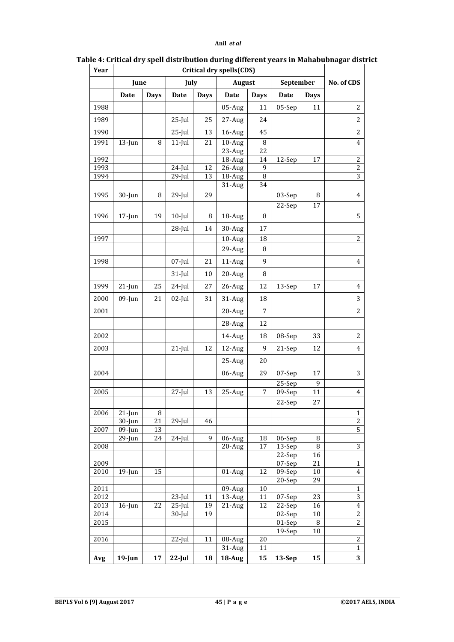| July<br><b>August</b><br>September<br>June<br>Date<br><b>Days</b><br>Date<br><b>Days</b><br>Date<br><b>Days</b><br><b>Days</b><br>Date<br>1988<br>$05-Aug$<br>05-Sep<br>11<br>11<br>1989<br>$25$ -Jul<br>25<br>27-Aug<br>24<br>1990<br>$25$ -Jul<br>13<br>$16$ -Aug<br>45<br>1991<br>$10$ -Aug<br>$11$ -Jul<br>21<br>8<br>$13$ -Jun<br>8<br>23-Aug<br>22<br>1992<br>18-Aug<br>14<br>12-Sep<br>17<br>1993<br>9<br>26-Aug<br>24-Jul<br>12<br>1994<br>$29$ -Jul<br>8<br>13<br>18-Aug<br>34<br>31-Aug<br>1995<br>30-Jun<br>8<br>$29$ -Jul<br>29<br>03-Sep<br>8<br>$\overline{2}$ 2-Sep<br>17<br>1996<br>$17$ -Jun<br>19<br>$10$ -Jul<br>18-Aug<br>8<br>8<br>30-Aug<br>$28$ -Jul<br>14<br>17<br>1997<br>$10$ -Aug<br>18<br>29-Aug<br>8<br>1998<br>$07$ -Jul<br>21<br>$11$ -Aug<br>9<br>$31$ -Jul<br>20-Aug<br>10<br>8<br>25<br>1999<br>$24$ -Jul<br>27<br>26-Aug<br>13-Sep<br>$21$ -Jun<br>12<br>17<br>2000<br>$09$ -Jun<br>21<br>$02$ -Jul<br>31<br>31-Aug<br>18<br>2001<br>$20$ -Aug<br>7<br>28-Aug<br>12<br>2002<br>14-Aug<br>08-Sep<br>33<br>18<br>2003<br>$21$ -Jul<br>12<br>12-Aug<br>9<br>21-Sep<br>12<br>25-Aug<br>20<br>2004<br>07-Sep<br>06-Aug<br>29<br>17<br>25-Sep<br>9<br>2005<br>25-Aug<br>$27$ -Jul<br>13<br>7<br>09-Sep<br>11<br>22-Sep<br>27<br>2006<br>$21$ -Jun<br>8<br>21<br>$30$ -Jun<br>$29$ -Jul<br>46<br>2007<br>$09$ -Jun<br>13<br>9<br>$29$ -Jun<br>24<br>$24$ -Jul<br>06-Aug<br>18<br>06-Sep<br>8<br>2008<br>17<br>$\, 8$<br>$20$ -Aug<br>13-Sep<br>22-Sep<br>16<br>2009<br>$\overline{0}$ 7-Sep<br>21<br>2010<br>$19$ -Jun<br>15<br>01-Aug<br>12<br>09-Sep<br>10<br>20-Sep<br>29<br>2011<br>09-Aug<br>10<br>13-Aug<br>2012<br>$23$ -Jul<br>11<br>11<br>07-Sep<br>23<br>22<br>$25$ -Jul<br>12<br>2013<br>$16$ -Jun<br>19<br>$21$ -Aug<br>22-Sep<br>16<br>2014<br>$30$ -Jul<br>19<br>02-Sep<br>10<br>2015<br>01-Sep<br>8<br>$19-$ Sep<br>10<br>2016<br>$22$ -Jul<br>11<br>$08$ -Aug<br>20<br>31-Aug<br>11 | Year |           | Critical dry spells(CDS) |           |    |        |            |        |    |                               |
|---------------------------------------------------------------------------------------------------------------------------------------------------------------------------------------------------------------------------------------------------------------------------------------------------------------------------------------------------------------------------------------------------------------------------------------------------------------------------------------------------------------------------------------------------------------------------------------------------------------------------------------------------------------------------------------------------------------------------------------------------------------------------------------------------------------------------------------------------------------------------------------------------------------------------------------------------------------------------------------------------------------------------------------------------------------------------------------------------------------------------------------------------------------------------------------------------------------------------------------------------------------------------------------------------------------------------------------------------------------------------------------------------------------------------------------------------------------------------------------------------------------------------------------------------------------------------------------------------------------------------------------------------------------------------------------------------------------------------------------------------------------------------------------------------------------------------------------------------------------------------------------------------------------------------------|------|-----------|--------------------------|-----------|----|--------|------------|--------|----|-------------------------------|
|                                                                                                                                                                                                                                                                                                                                                                                                                                                                                                                                                                                                                                                                                                                                                                                                                                                                                                                                                                                                                                                                                                                                                                                                                                                                                                                                                                                                                                                                                                                                                                                                                                                                                                                                                                                                                                                                                                                                 |      |           |                          |           |    |        | No. of CDS |        |    |                               |
|                                                                                                                                                                                                                                                                                                                                                                                                                                                                                                                                                                                                                                                                                                                                                                                                                                                                                                                                                                                                                                                                                                                                                                                                                                                                                                                                                                                                                                                                                                                                                                                                                                                                                                                                                                                                                                                                                                                                 |      |           |                          |           |    |        |            |        |    |                               |
|                                                                                                                                                                                                                                                                                                                                                                                                                                                                                                                                                                                                                                                                                                                                                                                                                                                                                                                                                                                                                                                                                                                                                                                                                                                                                                                                                                                                                                                                                                                                                                                                                                                                                                                                                                                                                                                                                                                                 |      |           |                          |           |    |        |            |        |    | 2                             |
|                                                                                                                                                                                                                                                                                                                                                                                                                                                                                                                                                                                                                                                                                                                                                                                                                                                                                                                                                                                                                                                                                                                                                                                                                                                                                                                                                                                                                                                                                                                                                                                                                                                                                                                                                                                                                                                                                                                                 |      |           |                          |           |    |        |            |        |    | 2                             |
|                                                                                                                                                                                                                                                                                                                                                                                                                                                                                                                                                                                                                                                                                                                                                                                                                                                                                                                                                                                                                                                                                                                                                                                                                                                                                                                                                                                                                                                                                                                                                                                                                                                                                                                                                                                                                                                                                                                                 |      |           |                          |           |    |        |            |        |    | 2                             |
|                                                                                                                                                                                                                                                                                                                                                                                                                                                                                                                                                                                                                                                                                                                                                                                                                                                                                                                                                                                                                                                                                                                                                                                                                                                                                                                                                                                                                                                                                                                                                                                                                                                                                                                                                                                                                                                                                                                                 |      |           |                          |           |    |        |            |        |    | 4                             |
|                                                                                                                                                                                                                                                                                                                                                                                                                                                                                                                                                                                                                                                                                                                                                                                                                                                                                                                                                                                                                                                                                                                                                                                                                                                                                                                                                                                                                                                                                                                                                                                                                                                                                                                                                                                                                                                                                                                                 |      |           |                          |           |    |        |            |        |    |                               |
|                                                                                                                                                                                                                                                                                                                                                                                                                                                                                                                                                                                                                                                                                                                                                                                                                                                                                                                                                                                                                                                                                                                                                                                                                                                                                                                                                                                                                                                                                                                                                                                                                                                                                                                                                                                                                                                                                                                                 |      |           |                          |           |    |        |            |        |    | $\overline{c}$                |
|                                                                                                                                                                                                                                                                                                                                                                                                                                                                                                                                                                                                                                                                                                                                                                                                                                                                                                                                                                                                                                                                                                                                                                                                                                                                                                                                                                                                                                                                                                                                                                                                                                                                                                                                                                                                                                                                                                                                 |      |           |                          |           |    |        |            |        |    | $\overline{c}$<br>3           |
|                                                                                                                                                                                                                                                                                                                                                                                                                                                                                                                                                                                                                                                                                                                                                                                                                                                                                                                                                                                                                                                                                                                                                                                                                                                                                                                                                                                                                                                                                                                                                                                                                                                                                                                                                                                                                                                                                                                                 |      |           |                          |           |    |        |            |        |    |                               |
|                                                                                                                                                                                                                                                                                                                                                                                                                                                                                                                                                                                                                                                                                                                                                                                                                                                                                                                                                                                                                                                                                                                                                                                                                                                                                                                                                                                                                                                                                                                                                                                                                                                                                                                                                                                                                                                                                                                                 |      |           |                          |           |    |        |            |        |    | $\overline{4}$                |
|                                                                                                                                                                                                                                                                                                                                                                                                                                                                                                                                                                                                                                                                                                                                                                                                                                                                                                                                                                                                                                                                                                                                                                                                                                                                                                                                                                                                                                                                                                                                                                                                                                                                                                                                                                                                                                                                                                                                 |      |           |                          |           |    |        |            |        |    |                               |
|                                                                                                                                                                                                                                                                                                                                                                                                                                                                                                                                                                                                                                                                                                                                                                                                                                                                                                                                                                                                                                                                                                                                                                                                                                                                                                                                                                                                                                                                                                                                                                                                                                                                                                                                                                                                                                                                                                                                 |      |           |                          |           |    |        |            |        |    | 5                             |
|                                                                                                                                                                                                                                                                                                                                                                                                                                                                                                                                                                                                                                                                                                                                                                                                                                                                                                                                                                                                                                                                                                                                                                                                                                                                                                                                                                                                                                                                                                                                                                                                                                                                                                                                                                                                                                                                                                                                 |      |           |                          |           |    |        |            |        |    |                               |
|                                                                                                                                                                                                                                                                                                                                                                                                                                                                                                                                                                                                                                                                                                                                                                                                                                                                                                                                                                                                                                                                                                                                                                                                                                                                                                                                                                                                                                                                                                                                                                                                                                                                                                                                                                                                                                                                                                                                 |      |           |                          |           |    |        |            |        |    | 2                             |
|                                                                                                                                                                                                                                                                                                                                                                                                                                                                                                                                                                                                                                                                                                                                                                                                                                                                                                                                                                                                                                                                                                                                                                                                                                                                                                                                                                                                                                                                                                                                                                                                                                                                                                                                                                                                                                                                                                                                 |      |           |                          |           |    |        |            |        |    |                               |
|                                                                                                                                                                                                                                                                                                                                                                                                                                                                                                                                                                                                                                                                                                                                                                                                                                                                                                                                                                                                                                                                                                                                                                                                                                                                                                                                                                                                                                                                                                                                                                                                                                                                                                                                                                                                                                                                                                                                 |      |           |                          |           |    |        |            |        |    | 4                             |
|                                                                                                                                                                                                                                                                                                                                                                                                                                                                                                                                                                                                                                                                                                                                                                                                                                                                                                                                                                                                                                                                                                                                                                                                                                                                                                                                                                                                                                                                                                                                                                                                                                                                                                                                                                                                                                                                                                                                 |      |           |                          |           |    |        |            |        |    |                               |
|                                                                                                                                                                                                                                                                                                                                                                                                                                                                                                                                                                                                                                                                                                                                                                                                                                                                                                                                                                                                                                                                                                                                                                                                                                                                                                                                                                                                                                                                                                                                                                                                                                                                                                                                                                                                                                                                                                                                 |      |           |                          |           |    |        |            |        |    | 4                             |
|                                                                                                                                                                                                                                                                                                                                                                                                                                                                                                                                                                                                                                                                                                                                                                                                                                                                                                                                                                                                                                                                                                                                                                                                                                                                                                                                                                                                                                                                                                                                                                                                                                                                                                                                                                                                                                                                                                                                 |      |           |                          |           |    |        |            |        |    | 3                             |
|                                                                                                                                                                                                                                                                                                                                                                                                                                                                                                                                                                                                                                                                                                                                                                                                                                                                                                                                                                                                                                                                                                                                                                                                                                                                                                                                                                                                                                                                                                                                                                                                                                                                                                                                                                                                                                                                                                                                 |      |           |                          |           |    |        |            |        |    | 2                             |
|                                                                                                                                                                                                                                                                                                                                                                                                                                                                                                                                                                                                                                                                                                                                                                                                                                                                                                                                                                                                                                                                                                                                                                                                                                                                                                                                                                                                                                                                                                                                                                                                                                                                                                                                                                                                                                                                                                                                 |      |           |                          |           |    |        |            |        |    |                               |
|                                                                                                                                                                                                                                                                                                                                                                                                                                                                                                                                                                                                                                                                                                                                                                                                                                                                                                                                                                                                                                                                                                                                                                                                                                                                                                                                                                                                                                                                                                                                                                                                                                                                                                                                                                                                                                                                                                                                 |      |           |                          |           |    |        |            |        |    | 2                             |
|                                                                                                                                                                                                                                                                                                                                                                                                                                                                                                                                                                                                                                                                                                                                                                                                                                                                                                                                                                                                                                                                                                                                                                                                                                                                                                                                                                                                                                                                                                                                                                                                                                                                                                                                                                                                                                                                                                                                 |      |           |                          |           |    |        |            |        |    |                               |
|                                                                                                                                                                                                                                                                                                                                                                                                                                                                                                                                                                                                                                                                                                                                                                                                                                                                                                                                                                                                                                                                                                                                                                                                                                                                                                                                                                                                                                                                                                                                                                                                                                                                                                                                                                                                                                                                                                                                 |      |           |                          |           |    |        |            |        |    | 4                             |
|                                                                                                                                                                                                                                                                                                                                                                                                                                                                                                                                                                                                                                                                                                                                                                                                                                                                                                                                                                                                                                                                                                                                                                                                                                                                                                                                                                                                                                                                                                                                                                                                                                                                                                                                                                                                                                                                                                                                 |      |           |                          |           |    |        |            |        |    |                               |
|                                                                                                                                                                                                                                                                                                                                                                                                                                                                                                                                                                                                                                                                                                                                                                                                                                                                                                                                                                                                                                                                                                                                                                                                                                                                                                                                                                                                                                                                                                                                                                                                                                                                                                                                                                                                                                                                                                                                 |      |           |                          |           |    |        |            |        |    | 3                             |
|                                                                                                                                                                                                                                                                                                                                                                                                                                                                                                                                                                                                                                                                                                                                                                                                                                                                                                                                                                                                                                                                                                                                                                                                                                                                                                                                                                                                                                                                                                                                                                                                                                                                                                                                                                                                                                                                                                                                 |      |           |                          |           |    |        |            |        |    |                               |
|                                                                                                                                                                                                                                                                                                                                                                                                                                                                                                                                                                                                                                                                                                                                                                                                                                                                                                                                                                                                                                                                                                                                                                                                                                                                                                                                                                                                                                                                                                                                                                                                                                                                                                                                                                                                                                                                                                                                 |      |           |                          |           |    |        |            |        |    | 4                             |
|                                                                                                                                                                                                                                                                                                                                                                                                                                                                                                                                                                                                                                                                                                                                                                                                                                                                                                                                                                                                                                                                                                                                                                                                                                                                                                                                                                                                                                                                                                                                                                                                                                                                                                                                                                                                                                                                                                                                 |      |           |                          |           |    |        |            |        |    |                               |
|                                                                                                                                                                                                                                                                                                                                                                                                                                                                                                                                                                                                                                                                                                                                                                                                                                                                                                                                                                                                                                                                                                                                                                                                                                                                                                                                                                                                                                                                                                                                                                                                                                                                                                                                                                                                                                                                                                                                 |      |           |                          |           |    |        |            |        |    | $\mathbf 1$<br>$\overline{c}$ |
|                                                                                                                                                                                                                                                                                                                                                                                                                                                                                                                                                                                                                                                                                                                                                                                                                                                                                                                                                                                                                                                                                                                                                                                                                                                                                                                                                                                                                                                                                                                                                                                                                                                                                                                                                                                                                                                                                                                                 |      |           |                          |           |    |        |            |        |    | 5                             |
|                                                                                                                                                                                                                                                                                                                                                                                                                                                                                                                                                                                                                                                                                                                                                                                                                                                                                                                                                                                                                                                                                                                                                                                                                                                                                                                                                                                                                                                                                                                                                                                                                                                                                                                                                                                                                                                                                                                                 |      |           |                          |           |    |        |            |        |    |                               |
|                                                                                                                                                                                                                                                                                                                                                                                                                                                                                                                                                                                                                                                                                                                                                                                                                                                                                                                                                                                                                                                                                                                                                                                                                                                                                                                                                                                                                                                                                                                                                                                                                                                                                                                                                                                                                                                                                                                                 |      |           |                          |           |    |        |            |        |    | $\overline{3}$                |
|                                                                                                                                                                                                                                                                                                                                                                                                                                                                                                                                                                                                                                                                                                                                                                                                                                                                                                                                                                                                                                                                                                                                                                                                                                                                                                                                                                                                                                                                                                                                                                                                                                                                                                                                                                                                                                                                                                                                 |      |           |                          |           |    |        |            |        |    |                               |
|                                                                                                                                                                                                                                                                                                                                                                                                                                                                                                                                                                                                                                                                                                                                                                                                                                                                                                                                                                                                                                                                                                                                                                                                                                                                                                                                                                                                                                                                                                                                                                                                                                                                                                                                                                                                                                                                                                                                 |      |           |                          |           |    |        |            |        |    | 1                             |
|                                                                                                                                                                                                                                                                                                                                                                                                                                                                                                                                                                                                                                                                                                                                                                                                                                                                                                                                                                                                                                                                                                                                                                                                                                                                                                                                                                                                                                                                                                                                                                                                                                                                                                                                                                                                                                                                                                                                 |      |           |                          |           |    |        |            |        |    | 4                             |
|                                                                                                                                                                                                                                                                                                                                                                                                                                                                                                                                                                                                                                                                                                                                                                                                                                                                                                                                                                                                                                                                                                                                                                                                                                                                                                                                                                                                                                                                                                                                                                                                                                                                                                                                                                                                                                                                                                                                 |      |           |                          |           |    |        |            |        |    | 1                             |
|                                                                                                                                                                                                                                                                                                                                                                                                                                                                                                                                                                                                                                                                                                                                                                                                                                                                                                                                                                                                                                                                                                                                                                                                                                                                                                                                                                                                                                                                                                                                                                                                                                                                                                                                                                                                                                                                                                                                 |      |           |                          |           |    |        |            |        |    | 3                             |
|                                                                                                                                                                                                                                                                                                                                                                                                                                                                                                                                                                                                                                                                                                                                                                                                                                                                                                                                                                                                                                                                                                                                                                                                                                                                                                                                                                                                                                                                                                                                                                                                                                                                                                                                                                                                                                                                                                                                 |      |           |                          |           |    |        |            |        |    | $\overline{\mathbf{4}}$       |
|                                                                                                                                                                                                                                                                                                                                                                                                                                                                                                                                                                                                                                                                                                                                                                                                                                                                                                                                                                                                                                                                                                                                                                                                                                                                                                                                                                                                                                                                                                                                                                                                                                                                                                                                                                                                                                                                                                                                 |      |           |                          |           |    |        |            |        |    | $\overline{c}$                |
|                                                                                                                                                                                                                                                                                                                                                                                                                                                                                                                                                                                                                                                                                                                                                                                                                                                                                                                                                                                                                                                                                                                                                                                                                                                                                                                                                                                                                                                                                                                                                                                                                                                                                                                                                                                                                                                                                                                                 |      |           |                          |           |    |        |            |        |    | 2                             |
|                                                                                                                                                                                                                                                                                                                                                                                                                                                                                                                                                                                                                                                                                                                                                                                                                                                                                                                                                                                                                                                                                                                                                                                                                                                                                                                                                                                                                                                                                                                                                                                                                                                                                                                                                                                                                                                                                                                                 |      |           |                          |           |    |        |            |        |    |                               |
|                                                                                                                                                                                                                                                                                                                                                                                                                                                                                                                                                                                                                                                                                                                                                                                                                                                                                                                                                                                                                                                                                                                                                                                                                                                                                                                                                                                                                                                                                                                                                                                                                                                                                                                                                                                                                                                                                                                                 |      |           |                          |           |    |        |            |        |    | 2                             |
|                                                                                                                                                                                                                                                                                                                                                                                                                                                                                                                                                                                                                                                                                                                                                                                                                                                                                                                                                                                                                                                                                                                                                                                                                                                                                                                                                                                                                                                                                                                                                                                                                                                                                                                                                                                                                                                                                                                                 |      |           |                          |           |    |        |            |        |    | $\mathbf 1$                   |
|                                                                                                                                                                                                                                                                                                                                                                                                                                                                                                                                                                                                                                                                                                                                                                                                                                                                                                                                                                                                                                                                                                                                                                                                                                                                                                                                                                                                                                                                                                                                                                                                                                                                                                                                                                                                                                                                                                                                 | Avg  | $19$ -Jun | 17                       | $22$ -Jul | 18 | 18-Aug | 15         | 13-Sep | 15 | 3                             |

# **Table 4: Critical dry spell distribution during different years in Mahabubnagar district**